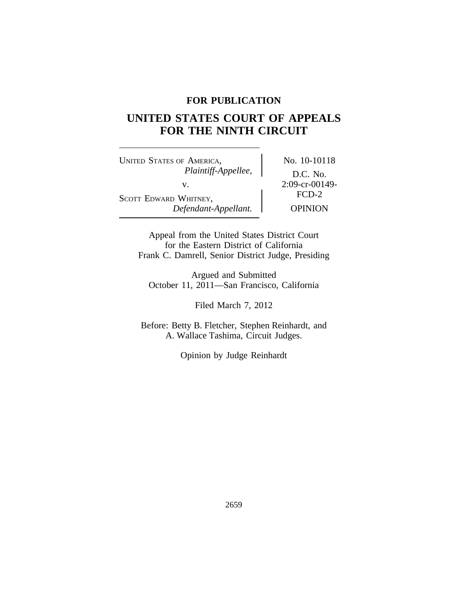# **FOR PUBLICATION**

# **UNITED STATES COURT OF APPEALS FOR THE NINTH CIRCUIT**

UNITED STATES OF AMERICA, No. 10-10118 *Plaintiff-Appellee,* D.C. No. v.  $2:09-cr-00149-  
\nFCD-2$ SCOTT EDWARD WHITNEY,<br>Defendant-Appellant. Dependent OPINION  $Define$ *Refendant-Appellant.* 

Appeal from the United States District Court for the Eastern District of California Frank C. Damrell, Senior District Judge, Presiding

Argued and Submitted October 11, 2011—San Francisco, California

Filed March 7, 2012

Before: Betty B. Fletcher, Stephen Reinhardt, and A. Wallace Tashima, Circuit Judges.

Opinion by Judge Reinhardt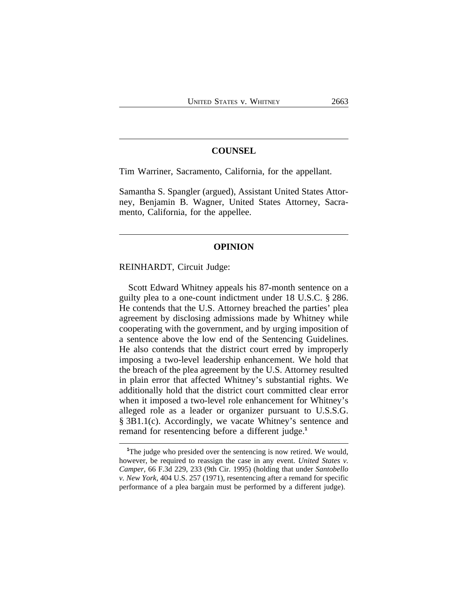# **COUNSEL**

Tim Warriner, Sacramento, California, for the appellant.

Samantha S. Spangler (argued), Assistant United States Attorney, Benjamin B. Wagner, United States Attorney, Sacramento, California, for the appellee.

#### **OPINION**

REINHARDT, Circuit Judge:

Scott Edward Whitney appeals his 87-month sentence on a guilty plea to a one-count indictment under 18 U.S.C. § 286. He contends that the U.S. Attorney breached the parties' plea agreement by disclosing admissions made by Whitney while cooperating with the government, and by urging imposition of a sentence above the low end of the Sentencing Guidelines. He also contends that the district court erred by improperly imposing a two-level leadership enhancement. We hold that the breach of the plea agreement by the U.S. Attorney resulted in plain error that affected Whitney's substantial rights. We additionally hold that the district court committed clear error when it imposed a two-level role enhancement for Whitney's alleged role as a leader or organizer pursuant to U.S.S.G. § 3B1.1(c). Accordingly, we vacate Whitney's sentence and remand for resentencing before a different judge.**<sup>1</sup>**

**<sup>1</sup>**The judge who presided over the sentencing is now retired. We would, however, be required to reassign the case in any event. *United States v. Camper*, 66 F.3d 229, 233 (9th Cir. 1995) (holding that under *Santobello v. New York*, 404 U.S. 257 (1971), resentencing after a remand for specific performance of a plea bargain must be performed by a different judge).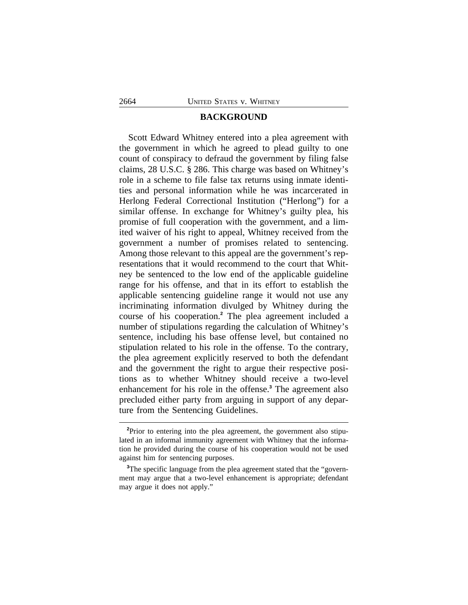# **BACKGROUND**

Scott Edward Whitney entered into a plea agreement with the government in which he agreed to plead guilty to one count of conspiracy to defraud the government by filing false claims, 28 U.S.C. § 286. This charge was based on Whitney's role in a scheme to file false tax returns using inmate identities and personal information while he was incarcerated in Herlong Federal Correctional Institution ("Herlong") for a similar offense. In exchange for Whitney's guilty plea, his promise of full cooperation with the government, and a limited waiver of his right to appeal, Whitney received from the government a number of promises related to sentencing. Among those relevant to this appeal are the government's representations that it would recommend to the court that Whitney be sentenced to the low end of the applicable guideline range for his offense, and that in its effort to establish the applicable sentencing guideline range it would not use any incriminating information divulged by Whitney during the course of his cooperation.**<sup>2</sup>** The plea agreement included a number of stipulations regarding the calculation of Whitney's sentence, including his base offense level, but contained no stipulation related to his role in the offense. To the contrary, the plea agreement explicitly reserved to both the defendant and the government the right to argue their respective positions as to whether Whitney should receive a two-level enhancement for his role in the offense.**<sup>3</sup>** The agreement also precluded either party from arguing in support of any departure from the Sentencing Guidelines.

<sup>&</sup>lt;sup>2</sup>Prior to entering into the plea agreement, the government also stipulated in an informal immunity agreement with Whitney that the information he provided during the course of his cooperation would not be used against him for sentencing purposes.

**<sup>3</sup>**The specific language from the plea agreement stated that the "government may argue that a two-level enhancement is appropriate; defendant may argue it does not apply."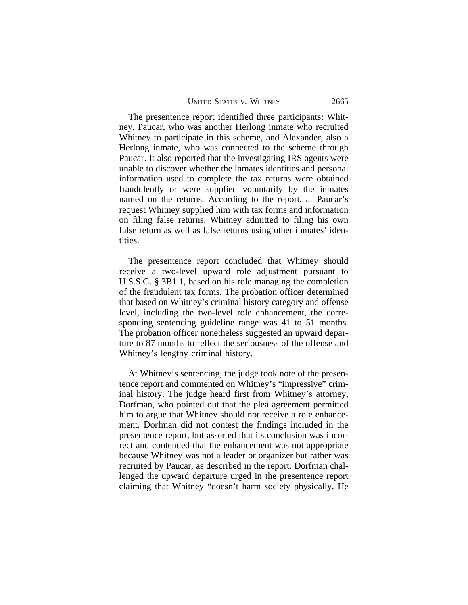The presentence report identified three participants: Whitney, Paucar, who was another Herlong inmate who recruited Whitney to participate in this scheme, and Alexander, also a Herlong inmate, who was connected to the scheme through Paucar. It also reported that the investigating IRS agents were unable to discover whether the inmates identities and personal information used to complete the tax returns were obtained fraudulently or were supplied voluntarily by the inmates named on the returns. According to the report, at Paucar's request Whitney supplied him with tax forms and information on filing false returns. Whitney admitted to filing his own false return as well as false returns using other inmates' identities.

The presentence report concluded that Whitney should receive a two-level upward role adjustment pursuant to U.S.S.G. § 3B1.1, based on his role managing the completion of the fraudulent tax forms. The probation officer determined that based on Whitney's criminal history category and offense level, including the two-level role enhancement, the corresponding sentencing guideline range was 41 to 51 months. The probation officer nonetheless suggested an upward departure to 87 months to reflect the seriousness of the offense and Whitney's lengthy criminal history.

At Whitney's sentencing, the judge took note of the presentence report and commented on Whitney's "impressive" criminal history. The judge heard first from Whitney's attorney, Dorfman, who pointed out that the plea agreement permitted him to argue that Whitney should not receive a role enhancement. Dorfman did not contest the findings included in the presentence report, but asserted that its conclusion was incorrect and contended that the enhancement was not appropriate because Whitney was not a leader or organizer but rather was recruited by Paucar, as described in the report. Dorfman challenged the upward departure urged in the presentence report claiming that Whitney "doesn't harm society physically. He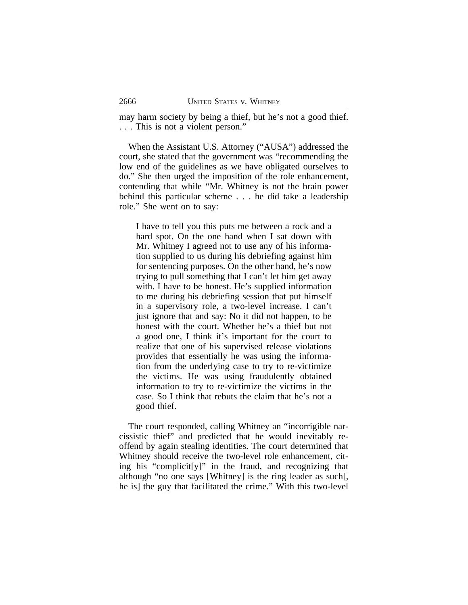may harm society by being a thief, but he's not a good thief. . . . This is not a violent person."

When the Assistant U.S. Attorney ("AUSA") addressed the court, she stated that the government was "recommending the low end of the guidelines as we have obligated ourselves to do." She then urged the imposition of the role enhancement, contending that while "Mr. Whitney is not the brain power behind this particular scheme . . . he did take a leadership role." She went on to say:

I have to tell you this puts me between a rock and a hard spot. On the one hand when I sat down with Mr. Whitney I agreed not to use any of his information supplied to us during his debriefing against him for sentencing purposes. On the other hand, he's now trying to pull something that I can't let him get away with. I have to be honest. He's supplied information to me during his debriefing session that put himself in a supervisory role, a two-level increase. I can't just ignore that and say: No it did not happen, to be honest with the court. Whether he's a thief but not a good one, I think it's important for the court to realize that one of his supervised release violations provides that essentially he was using the information from the underlying case to try to re-victimize the victims. He was using fraudulently obtained information to try to re-victimize the victims in the case. So I think that rebuts the claim that he's not a good thief.

The court responded, calling Whitney an "incorrigible narcissistic thief" and predicted that he would inevitably reoffend by again stealing identities. The court determined that Whitney should receive the two-level role enhancement, citing his "complicit[y]" in the fraud, and recognizing that although "no one says [Whitney] is the ring leader as such[, he is] the guy that facilitated the crime." With this two-level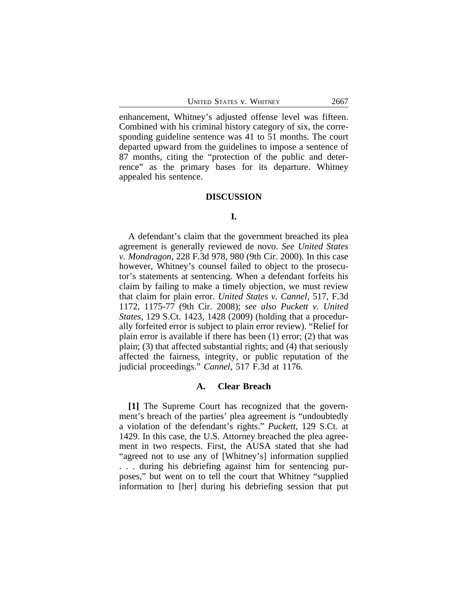enhancement, Whitney's adjusted offense level was fifteen. Combined with his criminal history category of six, the corresponding guideline sentence was 41 to 51 months. The court departed upward from the guidelines to impose a sentence of 87 months, citing the "protection of the public and deterrence" as the primary bases for its departure. Whitney appealed his sentence.

#### **DISCUSSION**

# **I.**

A defendant's claim that the government breached its plea agreement is generally reviewed de novo. *See United States v. Mondragon*, 228 F.3d 978, 980 (9th Cir. 2000). In this case however, Whitney's counsel failed to object to the prosecutor's statements at sentencing. When a defendant forfeits his claim by failing to make a timely objection, we must review that claim for plain error. *United States v. Cannel*, 517, F.3d 1172, 1175-77 (9th Cir. 2008); *see also Puckett v. United States*, 129 S.Ct. 1423, 1428 (2009) (holding that a procedurally forfeited error is subject to plain error review). "Relief for plain error is available if there has been (1) error; (2) that was plain; (3) that affected substantial rights; and (4) that seriously affected the fairness, integrity, or public reputation of the judicial proceedings." *Cannel*, 517 F.3d at 1176.

# **A. Clear Breach**

**[1]** The Supreme Court has recognized that the government's breach of the parties' plea agreement is "undoubtedly a violation of the defendant's rights." *Puckett*, 129 S.Ct. at 1429. In this case, the U.S. Attorney breached the plea agreement in two respects. First, the AUSA stated that she had "agreed not to use any of [Whitney's] information supplied . . . during his debriefing against him for sentencing purposes," but went on to tell the court that Whitney "supplied information to [her] during his debriefing session that put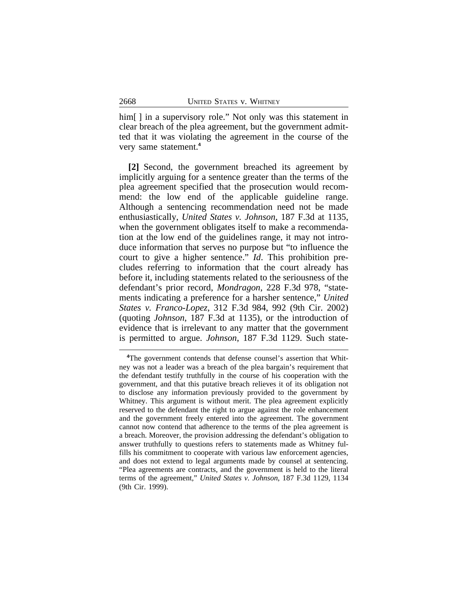him[] in a supervisory role." Not only was this statement in clear breach of the plea agreement, but the government admitted that it was violating the agreement in the course of the very same statement.**<sup>4</sup>**

**[2]** Second, the government breached its agreement by implicitly arguing for a sentence greater than the terms of the plea agreement specified that the prosecution would recommend: the low end of the applicable guideline range. Although a sentencing recommendation need not be made enthusiastically, *United States v. Johnson*, 187 F.3d at 1135, when the government obligates itself to make a recommendation at the low end of the guidelines range, it may not introduce information that serves no purpose but "to influence the court to give a higher sentence." *Id*. This prohibition precludes referring to information that the court already has before it, including statements related to the seriousness of the defendant's prior record, *Mondragon*, 228 F.3d 978, "statements indicating a preference for a harsher sentence," *United States v. Franco-Lopez*, 312 F.3d 984, 992 (9th Cir. 2002) (quoting *Johnson*, 187 F.3d at 1135), or the introduction of evidence that is irrelevant to any matter that the government is permitted to argue. *Johnson*, 187 F.3d 1129. Such state-

**<sup>4</sup>**The government contends that defense counsel's assertion that Whitney was not a leader was a breach of the plea bargain's requirement that the defendant testify truthfully in the course of his cooperation with the government, and that this putative breach relieves it of its obligation not to disclose any information previously provided to the government by Whitney. This argument is without merit. The plea agreement explicitly reserved to the defendant the right to argue against the role enhancement and the government freely entered into the agreement. The government cannot now contend that adherence to the terms of the plea agreement is a breach. Moreover, the provision addressing the defendant's obligation to answer truthfully to questions refers to statements made as Whitney fulfills his commitment to cooperate with various law enforcement agencies, and does not extend to legal arguments made by counsel at sentencing. "Plea agreements are contracts, and the government is held to the literal terms of the agreement," *United States v. Johnson*, 187 F.3d 1129, 1134 (9th Cir. 1999).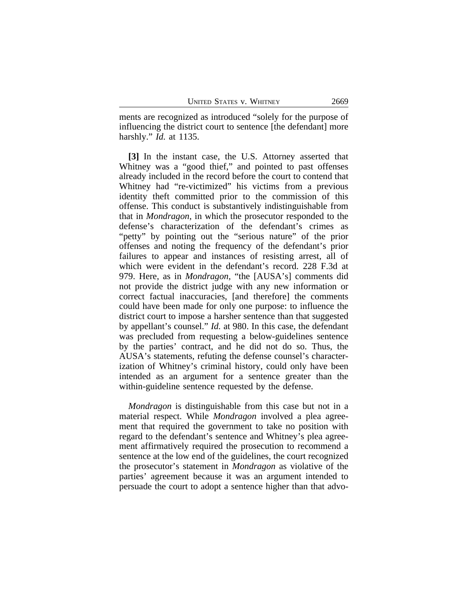ments are recognized as introduced "solely for the purpose of influencing the district court to sentence [the defendant] more harshly." *Id.* at 1135.

**[3]** In the instant case, the U.S. Attorney asserted that Whitney was a "good thief," and pointed to past offenses already included in the record before the court to contend that Whitney had "re-victimized" his victims from a previous identity theft committed prior to the commission of this offense. This conduct is substantively indistinguishable from that in *Mondragon*, in which the prosecutor responded to the defense's characterization of the defendant's crimes as "petty" by pointing out the "serious nature" of the prior offenses and noting the frequency of the defendant's prior failures to appear and instances of resisting arrest, all of which were evident in the defendant's record. 228 F.3d at 979. Here, as in *Mondragon*, "the [AUSA's] comments did not provide the district judge with any new information or correct factual inaccuracies, [and therefore] the comments could have been made for only one purpose: to influence the district court to impose a harsher sentence than that suggested by appellant's counsel." *Id.* at 980. In this case, the defendant was precluded from requesting a below-guidelines sentence by the parties' contract, and he did not do so. Thus, the AUSA's statements, refuting the defense counsel's characterization of Whitney's criminal history, could only have been intended as an argument for a sentence greater than the within-guideline sentence requested by the defense.

*Mondragon* is distinguishable from this case but not in a material respect. While *Mondragon* involved a plea agreement that required the government to take no position with regard to the defendant's sentence and Whitney's plea agreement affirmatively required the prosecution to recommend a sentence at the low end of the guidelines, the court recognized the prosecutor's statement in *Mondragon* as violative of the parties' agreement because it was an argument intended to persuade the court to adopt a sentence higher than that advo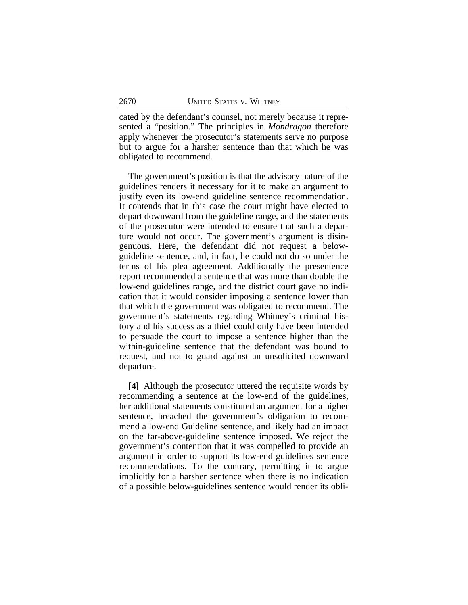cated by the defendant's counsel, not merely because it represented a "position." The principles in *Mondragon* therefore apply whenever the prosecutor's statements serve no purpose but to argue for a harsher sentence than that which he was obligated to recommend.

The government's position is that the advisory nature of the guidelines renders it necessary for it to make an argument to justify even its low-end guideline sentence recommendation. It contends that in this case the court might have elected to depart downward from the guideline range, and the statements of the prosecutor were intended to ensure that such a departure would not occur. The government's argument is disingenuous. Here, the defendant did not request a belowguideline sentence, and, in fact, he could not do so under the terms of his plea agreement. Additionally the presentence report recommended a sentence that was more than double the low-end guidelines range, and the district court gave no indication that it would consider imposing a sentence lower than that which the government was obligated to recommend. The government's statements regarding Whitney's criminal history and his success as a thief could only have been intended to persuade the court to impose a sentence higher than the within-guideline sentence that the defendant was bound to request, and not to guard against an unsolicited downward departure.

**[4]** Although the prosecutor uttered the requisite words by recommending a sentence at the low-end of the guidelines, her additional statements constituted an argument for a higher sentence, breached the government's obligation to recommend a low-end Guideline sentence, and likely had an impact on the far-above-guideline sentence imposed. We reject the government's contention that it was compelled to provide an argument in order to support its low-end guidelines sentence recommendations. To the contrary, permitting it to argue implicitly for a harsher sentence when there is no indication of a possible below-guidelines sentence would render its obli-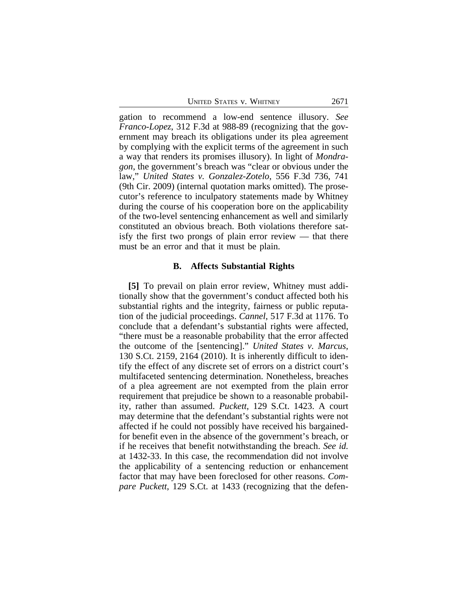UNITED STATES V. WHITNEY 2671

gation to recommend a low-end sentence illusory. *See Franco-Lopez*, 312 F.3d at 988-89 (recognizing that the government may breach its obligations under its plea agreement by complying with the explicit terms of the agreement in such a way that renders its promises illusory). In light of *Mondragon*, the government's breach was "clear or obvious under the law," *United States v. Gonzalez-Zotelo*, 556 F.3d 736, 741 (9th Cir. 2009) (internal quotation marks omitted). The prosecutor's reference to inculpatory statements made by Whitney during the course of his cooperation bore on the applicability of the two-level sentencing enhancement as well and similarly constituted an obvious breach. Both violations therefore satisfy the first two prongs of plain error review — that there must be an error and that it must be plain.

#### **B. Affects Substantial Rights**

**[5]** To prevail on plain error review, Whitney must additionally show that the government's conduct affected both his substantial rights and the integrity, fairness or public reputation of the judicial proceedings. *Cannel*, 517 F.3d at 1176. To conclude that a defendant's substantial rights were affected, "there must be a reasonable probability that the error affected the outcome of the [sentencing]." *United States v. Marcus*, 130 S.Ct. 2159, 2164 (2010). It is inherently difficult to identify the effect of any discrete set of errors on a district court's multifaceted sentencing determination. Nonetheless, breaches of a plea agreement are not exempted from the plain error requirement that prejudice be shown to a reasonable probability, rather than assumed. *Puckett*, 129 S.Ct. 1423. A court may determine that the defendant's substantial rights were not affected if he could not possibly have received his bargainedfor benefit even in the absence of the government's breach, or if he receives that benefit notwithstanding the breach. *See id.* at 1432-33. In this case, the recommendation did not involve the applicability of a sentencing reduction or enhancement factor that may have been foreclosed for other reasons. *Compare Puckett*, 129 S.Ct. at 1433 (recognizing that the defen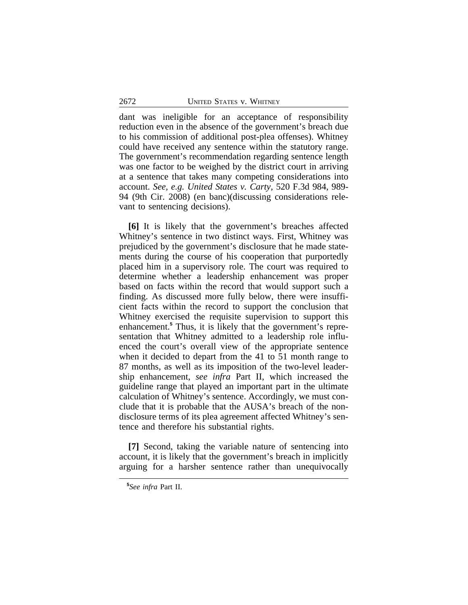dant was ineligible for an acceptance of responsibility reduction even in the absence of the government's breach due to his commission of additional post-plea offenses). Whitney could have received any sentence within the statutory range. The government's recommendation regarding sentence length was one factor to be weighed by the district court in arriving at a sentence that takes many competing considerations into account. *See, e.g. United States v. Carty,* 520 F.3d 984, 989- 94 (9th Cir. 2008) (en banc)(discussing considerations relevant to sentencing decisions).

**[6]** It is likely that the government's breaches affected Whitney's sentence in two distinct ways. First, Whitney was prejudiced by the government's disclosure that he made statements during the course of his cooperation that purportedly placed him in a supervisory role. The court was required to determine whether a leadership enhancement was proper based on facts within the record that would support such a finding. As discussed more fully below, there were insufficient facts within the record to support the conclusion that Whitney exercised the requisite supervision to support this enhancement.**<sup>5</sup>** Thus, it is likely that the government's representation that Whitney admitted to a leadership role influenced the court's overall view of the appropriate sentence when it decided to depart from the 41 to 51 month range to 87 months, as well as its imposition of the two-level leadership enhancement, *see infra* Part II, which increased the guideline range that played an important part in the ultimate calculation of Whitney's sentence. Accordingly, we must conclude that it is probable that the AUSA's breach of the nondisclosure terms of its plea agreement affected Whitney's sentence and therefore his substantial rights.

**[7]** Second, taking the variable nature of sentencing into account, it is likely that the government's breach in implicitly arguing for a harsher sentence rather than unequivocally

**<sup>5</sup>** *See infra* Part II.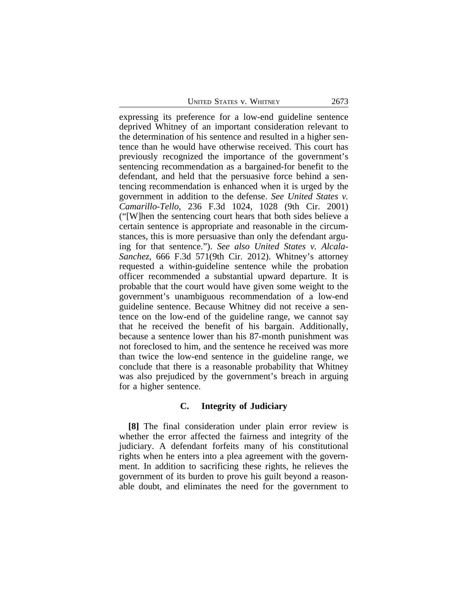UNITED STATES V. WHITNEY 2673

expressing its preference for a low-end guideline sentence deprived Whitney of an important consideration relevant to the determination of his sentence and resulted in a higher sentence than he would have otherwise received. This court has previously recognized the importance of the government's sentencing recommendation as a bargained-for benefit to the defendant, and held that the persuasive force behind a sentencing recommendation is enhanced when it is urged by the government in addition to the defense. *See United States v. Camarillo-Tello*, 236 F.3d 1024, 1028 (9th Cir. 2001) ("[W]hen the sentencing court hears that both sides believe a certain sentence is appropriate and reasonable in the circumstances, this is more persuasive than only the defendant arguing for that sentence."). *See also United States v. Alcala-Sanchez*, 666 F.3d 571(9th Cir. 2012). Whitney's attorney requested a within-guideline sentence while the probation officer recommended a substantial upward departure. It is probable that the court would have given some weight to the government's unambiguous recommendation of a low-end guideline sentence. Because Whitney did not receive a sentence on the low-end of the guideline range, we cannot say that he received the benefit of his bargain. Additionally, because a sentence lower than his 87-month punishment was not foreclosed to him, and the sentence he received was more than twice the low-end sentence in the guideline range, we conclude that there is a reasonable probability that Whitney was also prejudiced by the government's breach in arguing for a higher sentence.

#### **C. Integrity of Judiciary**

**[8]** The final consideration under plain error review is whether the error affected the fairness and integrity of the judiciary. A defendant forfeits many of his constitutional rights when he enters into a plea agreement with the government. In addition to sacrificing these rights, he relieves the government of its burden to prove his guilt beyond a reasonable doubt, and eliminates the need for the government to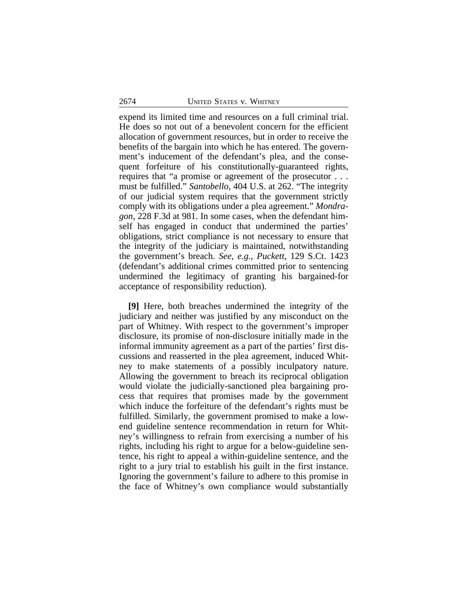expend its limited time and resources on a full criminal trial. He does so not out of a benevolent concern for the efficient allocation of government resources, but in order to receive the benefits of the bargain into which he has entered. The government's inducement of the defendant's plea, and the consequent forfeiture of his constitutionally-guaranteed rights, requires that "a promise or agreement of the prosecutor . . . must be fulfilled." *Santobello*, 404 U.S. at 262. "The integrity of our judicial system requires that the government strictly comply with its obligations under a plea agreement." *Mondragon*, 228 F.3d at 981. In some cases, when the defendant himself has engaged in conduct that undermined the parties' obligations, strict compliance is not necessary to ensure that the integrity of the judiciary is maintained, notwithstanding the government's breach. *See, e.g., Puckett*, 129 S.Ct. 1423 (defendant's additional crimes committed prior to sentencing undermined the legitimacy of granting his bargained-for acceptance of responsibility reduction).

**[9]** Here, both breaches undermined the integrity of the judiciary and neither was justified by any misconduct on the part of Whitney. With respect to the government's improper disclosure, its promise of non-disclosure initially made in the informal immunity agreement as a part of the parties' first discussions and reasserted in the plea agreement, induced Whitney to make statements of a possibly inculpatory nature. Allowing the government to breach its reciprocal obligation would violate the judicially-sanctioned plea bargaining process that requires that promises made by the government which induce the forfeiture of the defendant's rights must be fulfilled. Similarly, the government promised to make a lowend guideline sentence recommendation in return for Whitney's willingness to refrain from exercising a number of his rights, including his right to argue for a below-guideline sentence, his right to appeal a within-guideline sentence, and the right to a jury trial to establish his guilt in the first instance. Ignoring the government's failure to adhere to this promise in the face of Whitney's own compliance would substantially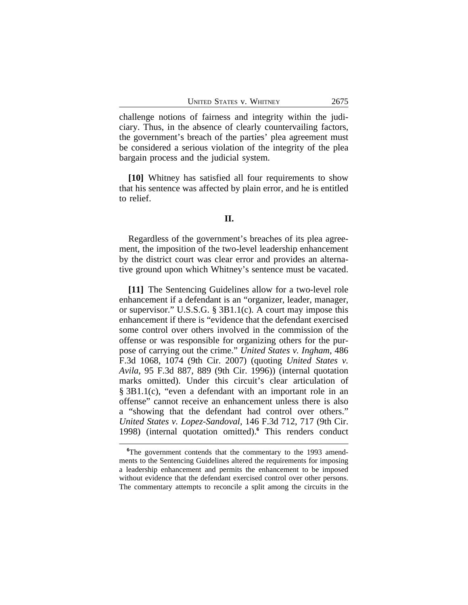challenge notions of fairness and integrity within the judiciary. Thus, in the absence of clearly countervailing factors, the government's breach of the parties' plea agreement must be considered a serious violation of the integrity of the plea bargain process and the judicial system.

**[10]** Whitney has satisfied all four requirements to show that his sentence was affected by plain error, and he is entitled to relief.

# **II.**

Regardless of the government's breaches of its plea agreement, the imposition of the two-level leadership enhancement by the district court was clear error and provides an alternative ground upon which Whitney's sentence must be vacated.

**[11]** The Sentencing Guidelines allow for a two-level role enhancement if a defendant is an "organizer, leader, manager, or supervisor." U.S.S.G. § 3B1.1(c). A court may impose this enhancement if there is "evidence that the defendant exercised some control over others involved in the commission of the offense or was responsible for organizing others for the purpose of carrying out the crime." *United States v. Ingham*, 486 F.3d 1068, 1074 (9th Cir. 2007) (quoting *United States v. Avila*, 95 F.3d 887, 889 (9th Cir. 1996)) (internal quotation marks omitted). Under this circuit's clear articulation of § 3B1.1(c), "even a defendant with an important role in an offense" cannot receive an enhancement unless there is also a "showing that the defendant had control over others." *United States v. Lopez-Sandoval*, 146 F.3d 712, 717 (9th Cir. 1998) (internal quotation omitted).**<sup>6</sup>** This renders conduct

**<sup>6</sup>**The government contends that the commentary to the 1993 amendments to the Sentencing Guidelines altered the requirements for imposing a leadership enhancement and permits the enhancement to be imposed without evidence that the defendant exercised control over other persons. The commentary attempts to reconcile a split among the circuits in the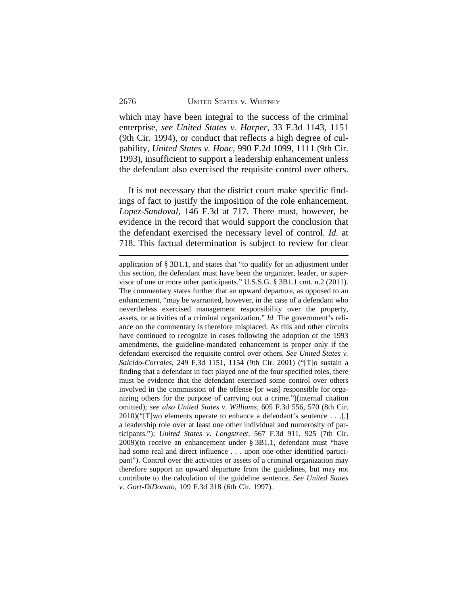which may have been integral to the success of the criminal enterprise, *see United States v. Harper*, 33 F.3d 1143, 1151 (9th Cir. 1994), or conduct that reflects a high degree of culpability, *United States v. Hoac*, 990 F.2d 1099, 1111 (9th Cir. 1993), insufficient to support a leadership enhancement unless the defendant also exercised the requisite control over others.

It is not necessary that the district court make specific findings of fact to justify the imposition of the role enhancement. *Lopez-Sandoval,* 146 F.3d at 717. There must, however, be evidence in the record that would support the conclusion that the defendant exercised the necessary level of control. *Id.* at 718. This factual determination is subject to review for clear

application of § 3B1.1, and states that "to qualify for an adjustment under this section, the defendant must have been the organizer, leader, or supervisor of one or more other participants." U.S.S.G. § 3B1.1 cmt. n.2 (2011). The commentary states further that an upward departure, as opposed to an enhancement, "may be warranted, however, in the case of a defendant who nevertheless exercised management responsibility over the property, assets, or activities of a criminal organization." *Id.* The government's reliance on the commentary is therefore misplaced. As this and other circuits have continued to recognize in cases following the adoption of the 1993 amendments, the guideline-mandated enhancement is proper only if the defendant exercised the requisite control over others. *See United States v. Salcido-Corrales*, 249 F.3d 1151, 1154 (9th Cir. 2001) ("[T]o sustain a finding that a defendant in fact played one of the four specified roles, there must be evidence that the defendant exercised some control over others involved in the commission of the offense [or was] responsible for organizing others for the purpose of carrying out a crime.")(internal citation omitted); *see also United States v. Williams*, 605 F.3d 556, 570 (8th Cir.  $2010$ )("[T]wo elements operate to enhance a defendant's sentence . . .[,] a leadership role over at least one other individual and numerosity of participants."); *United States v. Longstreet*, 567 F.3d 911, 925 (7th Cir. 2009)(to receive an enhancement under § 3B1.1, defendant must "have had some real and direct influence . . . upon one other identified participant"). Control over the activities or assets of a criminal organization may therefore support an upward departure from the guidelines, but may not contribute to the calculation of the guideline sentence. *See United States v. Gort-DiDonato*, 109 F.3d 318 (6th Cir. 1997).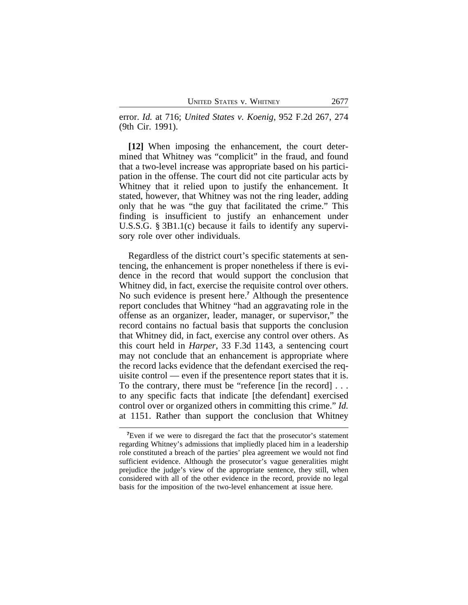error. *Id.* at 716; *United States v. Koenig*, 952 F.2d 267, 274 (9th Cir. 1991).

**[12]** When imposing the enhancement, the court determined that Whitney was "complicit" in the fraud, and found that a two-level increase was appropriate based on his participation in the offense. The court did not cite particular acts by Whitney that it relied upon to justify the enhancement. It stated, however, that Whitney was not the ring leader, adding only that he was "the guy that facilitated the crime." This finding is insufficient to justify an enhancement under U.S.S.G. § 3B1.1(c) because it fails to identify any supervisory role over other individuals.

Regardless of the district court's specific statements at sentencing, the enhancement is proper nonetheless if there is evidence in the record that would support the conclusion that Whitney did, in fact, exercise the requisite control over others. No such evidence is present here.**<sup>7</sup>** Although the presentence report concludes that Whitney "had an aggravating role in the offense as an organizer, leader, manager, or supervisor," the record contains no factual basis that supports the conclusion that Whitney did, in fact, exercise any control over others. As this court held in *Harper*, 33 F.3d 1143, a sentencing court may not conclude that an enhancement is appropriate where the record lacks evidence that the defendant exercised the requisite control — even if the presentence report states that it is. To the contrary, there must be "reference [in the record] . . . to any specific facts that indicate [the defendant] exercised control over or organized others in committing this crime." *Id.* at 1151. Rather than support the conclusion that Whitney

**<sup>7</sup>**Even if we were to disregard the fact that the prosecutor's statement regarding Whitney's admissions that impliedly placed him in a leadership role constituted a breach of the parties' plea agreement we would not find sufficient evidence. Although the prosecutor's vague generalities might prejudice the judge's view of the appropriate sentence, they still, when considered with all of the other evidence in the record, provide no legal basis for the imposition of the two-level enhancement at issue here.